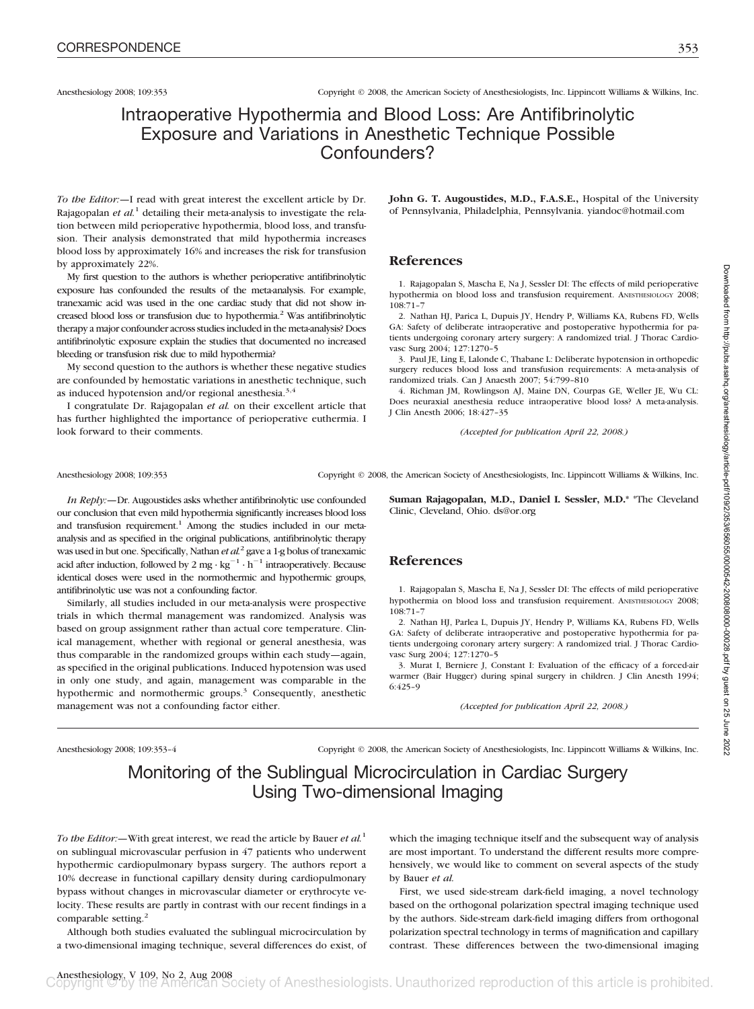Anesthesiology 2008; 109:353 Copyright © 2008, the American Society of Anesthesiologists, Inc. Lippincott Williams & Wilkins, Inc.

## Intraoperative Hypothermia and Blood Loss: Are Antifibrinolytic Exposure and Variations in Anesthetic Technique Possible Confounders?

*To the Editor:—*I read with great interest the excellent article by Dr. Rajagopalan *et al.*<sup>1</sup> detailing their meta-analysis to investigate the relation between mild perioperative hypothermia, blood loss, and transfusion. Their analysis demonstrated that mild hypothermia increases blood loss by approximately 16% and increases the risk for transfusion by approximately 22%.

My first question to the authors is whether perioperative antifibrinolytic exposure has confounded the results of the meta-analysis. For example, tranexamic acid was used in the one cardiac study that did not show increased blood loss or transfusion due to hypothermia.<sup>2</sup> Was antifibrinolytic therapy a major confounder across studies included in the meta-analysis? Does antifibrinolytic exposure explain the studies that documented no increased bleeding or transfusion risk due to mild hypothermia?

My second question to the authors is whether these negative studies are confounded by hemostatic variations in anesthetic technique, such as induced hypotension and/or regional anesthesia.3,4

I congratulate Dr. Rajagopalan *et al.* on their excellent article that has further highlighted the importance of perioperative euthermia. I look forward to their comments.

**John G. T. Augoustides, M.D., F.A.S.E.,** Hospital of the University of Pennsylvania, Philadelphia, Pennsylvania. yiandoc@hotmail.com

### **References**

1. Rajagopalan S, Mascha E, Na J, Sessler DI: The effects of mild perioperative hypothermia on blood loss and transfusion requirement. ANESTHESIOLOGY 2008; 108:71–7

2. Nathan HJ, Parica L, Dupuis JY, Hendry P, Williams KA, Rubens FD, Wells GA: Safety of deliberate intraoperative and postoperative hypothermia for patients undergoing coronary artery surgery: A randomized trial. J Thorac Cardiovasc Surg 2004; 127:1270–5

3. Paul JE, Ling E, Lalonde C, Thabane L: Deliberate hypotension in orthopedic surgery reduces blood loss and transfusion requirements: A meta-analysis of randomized trials. Can J Anaesth 2007; 54:799–810

4. Richman JM, Rowlingson AJ, Maine DN, Courpas GE, Weller JE, Wu CL: Does neuraxial anesthesia reduce intraoperative blood loss? A meta-analysis. J Clin Anesth 2006; 18:427–35

*(Accepted for publication April 22, 2008.)*

Anesthesiology 2008; 109:353 Copyright © 2008, the American Society of Anesthesiologists, Inc. Lippincott Williams & Wilkins, Inc.

*In Reply:—*Dr. Augoustides asks whether antifibrinolytic use confounded our conclusion that even mild hypothermia significantly increases blood loss and transfusion requirement.<sup>1</sup> Among the studies included in our metaanalysis and as specified in the original publications, antifibrinolytic therapy was used in but one. Specifically, Nathan *et al.*<sup>2</sup> gave a 1-g bolus of tranexamic acid after induction, followed by 2 mg  $\cdot$  kg<sup>-1</sup>  $\cdot$  h<sup>-1</sup> intraoperatively. Because identical doses were used in the normothermic and hypothermic groups, antifibrinolytic use was not a confounding factor.

Similarly, all studies included in our meta-analysis were prospective trials in which thermal management was randomized. Analysis was based on group assignment rather than actual core temperature. Clinical management, whether with regional or general anesthesia, was thus comparable in the randomized groups within each study—again, as specified in the original publications. Induced hypotension was used in only one study, and again, management was comparable in the hypothermic and normothermic groups.<sup>3</sup> Consequently, anesthetic management was not a confounding factor either.

**Suman Rajagopalan, M.D., Daniel I. Sessler, M.D.\*** \*The Cleveland Clinic, Cleveland, Ohio. ds@or.org

### **References**

1. Rajagopalan S, Mascha E, Na J, Sessler DI: The effects of mild perioperative hypothermia on blood loss and transfusion requirement. ANESTHESIOLOGY 2008; 108:71–7

2. Nathan HJ, Parlea L, Dupuis JY, Hendry P, Williams KA, Rubens FD, Wells GA: Safety of deliberate intraoperative and postoperative hypothermia for patients undergoing coronary artery surgery: A randomized trial. J Thorac Cardiovasc Surg 2004; 127:1270–5

3. Murat I, Berniere J, Constant I: Evaluation of the efficacy of a forced-air warmer (Bair Hugger) during spinal surgery in children. J Clin Anesth 1994; 6:425–9

*(Accepted for publication April 22, 2008.)*

Anesthesiology 2008; 109:353–4 Copyright © 2008, the American Society of Anesthesiologists, Inc. Lippincott Williams & Wilkins, Inc.

# Monitoring of the Sublingual Microcirculation in Cardiac Surgery Using Two-dimensional Imaging

*To the Editor:—*With great interest, we read the article by Bauer *et al.*<sup>1</sup> on sublingual microvascular perfusion in 47 patients who underwent hypothermic cardiopulmonary bypass surgery. The authors report a 10% decrease in functional capillary density during cardiopulmonary bypass without changes in microvascular diameter or erythrocyte velocity. These results are partly in contrast with our recent findings in a comparable setting.<sup>2</sup>

Although both studies evaluated the sublingual microcirculation by a two-dimensional imaging technique, several differences do exist, of

which the imaging technique itself and the subsequent way of analysis are most important. To understand the different results more comprehensively, we would like to comment on several aspects of the study by Bauer *et al.*

First, we used side-stream dark-field imaging, a novel technology based on the orthogonal polarization spectral imaging technique used by the authors. Side-stream dark-field imaging differs from orthogonal polarization spectral technology in terms of magnification and capillary contrast. These differences between the two-dimensional imaging